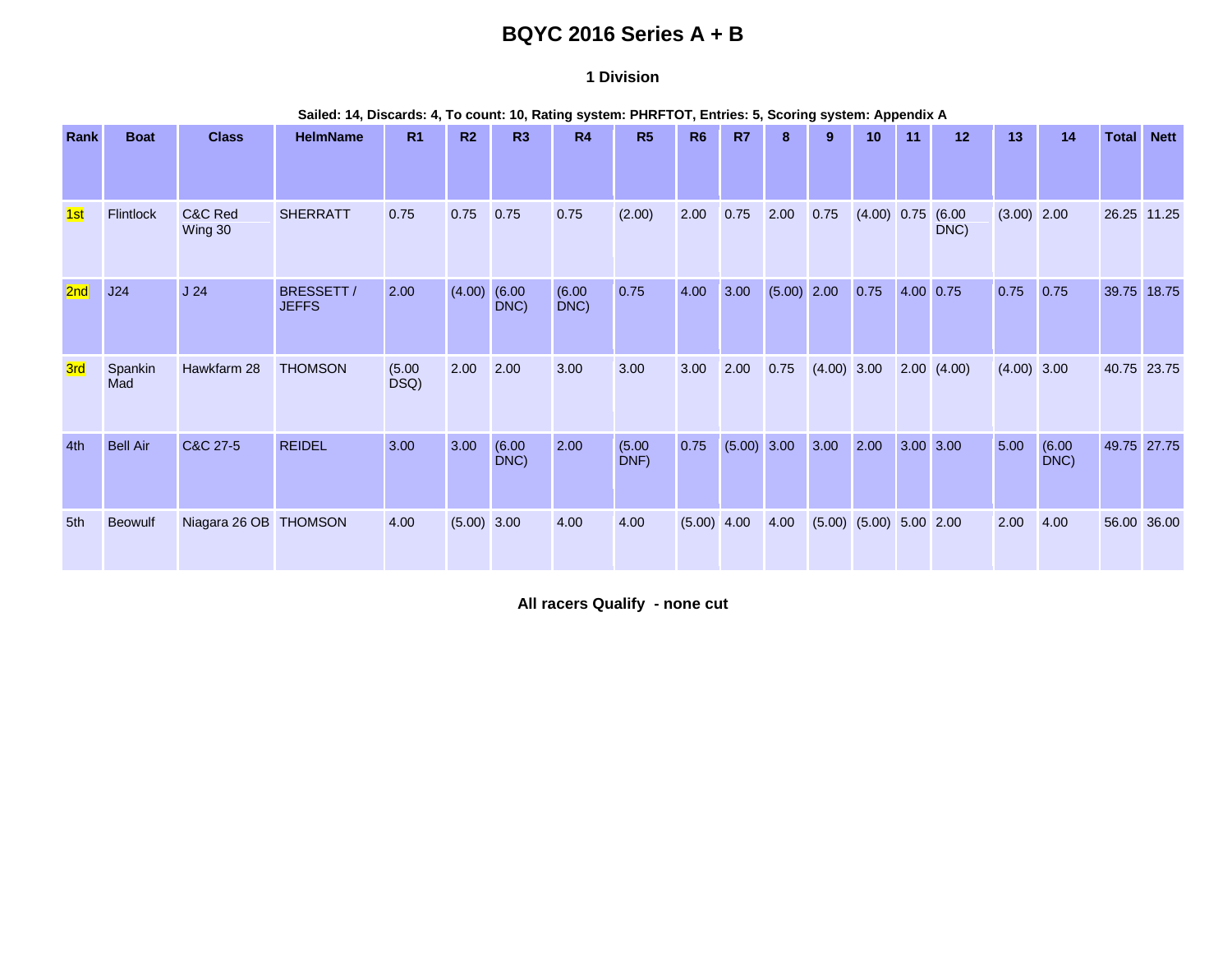# **BQYC 2016 Series A + B**

#### **1 Division**

**Sailed: 14, Discards: 4, To count: 10, Rating system: PHRFTOT, Entries: 5, Scoring system: Appendix A**

| Rank | <b>Boat</b>     | <b>Class</b>          | <b>HelmName</b>            | R <sub>1</sub> | R <sub>2</sub> | R3             | R4             | R <sub>5</sub> | R <sub>6</sub> | <b>R7</b>     | 8             | 9                             | 10          | 11        | 12 <sup>°</sup> | 13            | 14             | <b>Total</b> | <b>Nett</b> |
|------|-----------------|-----------------------|----------------------------|----------------|----------------|----------------|----------------|----------------|----------------|---------------|---------------|-------------------------------|-------------|-----------|-----------------|---------------|----------------|--------------|-------------|
|      |                 |                       |                            |                |                |                |                |                |                |               |               |                               |             |           |                 |               |                |              |             |
| 1st  | Flintlock       | C&C Red<br>Wing 30    | <b>SHERRATT</b>            | 0.75           | 0.75           | 0.75           | 0.75           | (2.00)         | 2.00           | 0.75          | 2.00          | 0.75                          | (4.00) 0.75 |           | (6.00)<br>DNC)  | $(3.00)$ 2.00 |                | 26.25        | 11.25       |
| 2nd  | J24             | J24                   | BRESSETT /<br><b>JEFFS</b> | 2.00           | (4.00)         | (6.00)<br>DNC) | (6.00)<br>DNC) | 0.75           | 4.00           | 3.00          | $(5.00)$ 2.00 |                               | 0.75        | 4.00 0.75 |                 | 0.75          | 0.75           | 39.75        | 18.75       |
| 3rd  | Spankin<br>Mad  | Hawkfarm 28           | <b>THOMSON</b>             | (5.00)<br>DSQ) | 2.00           | 2.00           | 3.00           | 3.00           | 3.00           | 2.00          | 0.75          | $(4.00)$ 3.00                 |             |           | 2.00(4.00)      | $(4.00)$ 3.00 |                | 40.75 23.75  |             |
| 4th  | <b>Bell Air</b> | C&C 27-5              | <b>REIDEL</b>              | 3.00           | 3.00           | (6.00)<br>DNC) | 2.00           | (5.00)<br>DNF) | 0.75           | $(5.00)$ 3.00 |               | 3.00                          | 2.00        | 3.00 3.00 |                 | 5.00          | (6.00)<br>DNC) | 49.75 27.75  |             |
| 5th  | <b>Beowulf</b>  | Niagara 26 OB THOMSON |                            | 4.00           | $(5.00)$ 3.00  |                | 4.00           | 4.00           | $(5.00)$ 4.00  |               | 4.00          | $(5.00)$ $(5.00)$ $5.00$ 2.00 |             |           |                 | 2.00          | 4.00           | 56.00        | 36.00       |

**All racers Qualify - none cut**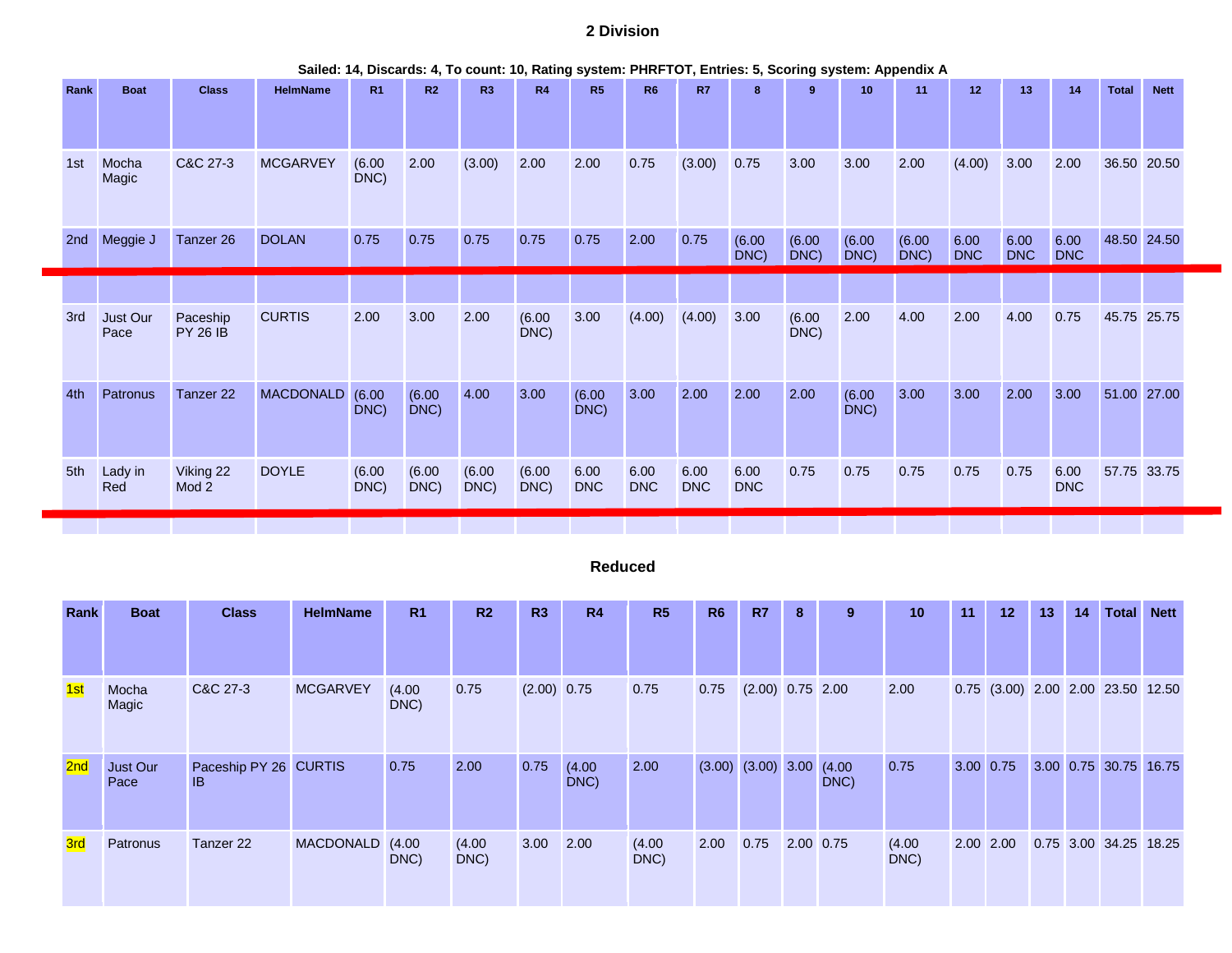## **2 Division**

| Rank | <b>Boat</b>      | <b>Class</b>                | <b>HelmName</b>  | R <sub>1</sub> | R <sub>2</sub> | R3             | R <sub>4</sub> | R5                 | <b>R6</b>          | <b>R7</b>          | 8                  | 9 <sup>°</sup> | 10                | 11             | 12                 | 13                 | 14                 | <b>Total</b> | <b>Nett</b> |
|------|------------------|-----------------------------|------------------|----------------|----------------|----------------|----------------|--------------------|--------------------|--------------------|--------------------|----------------|-------------------|----------------|--------------------|--------------------|--------------------|--------------|-------------|
| 1st  | Mocha<br>Magic   | C&C 27-3                    | <b>MCGARVEY</b>  | (6.00)<br>DNC) | 2.00           | (3.00)         | 2.00           | 2.00               | 0.75               | (3.00)             | 0.75               | 3.00           | 3.00              | 2.00           | (4.00)             | 3.00               | 2.00               |              | 36.50 20.50 |
| 2nd  | Meggie J         | Tanzer 26                   | <b>DOLAN</b>     | 0.75           | 0.75           | 0.75           | 0.75           | 0.75               | 2.00               | 0.75               | (6.00)<br>$DNC$ )  | (6.00)<br>DNC) | (6.00)<br>$DNC$ ) | (6.00)<br>DNC) | 6.00<br><b>DNC</b> | 6.00<br><b>DNC</b> | 6.00<br><b>DNC</b> |              | 48.50 24.50 |
|      |                  |                             |                  |                |                |                |                |                    |                    |                    |                    |                |                   |                |                    |                    |                    |              |             |
| 3rd  | Just Our<br>Pace | Paceship<br><b>PY 26 IB</b> | <b>CURTIS</b>    | 2.00           | 3.00           | 2.00           | (6.00)<br>DNC) | 3.00               | (4.00)             | (4.00)             | 3.00               | (6.00)<br>DNC) | 2.00              | 4.00           | 2.00               | 4.00               | 0.75               |              | 45.75 25.75 |
| 4th  | Patronus         | Tanzer 22                   | <b>MACDONALD</b> | (6.00)<br>DNC) | (6.00)<br>DNC) | 4.00           | 3.00           | (6.00)<br>DNC)     | 3.00               | 2.00               | 2.00               | 2.00           | (6.00)<br>DNC)    | 3.00           | 3.00               | 2.00               | 3.00               | 51.00 27.00  |             |
| 5th  | Lady in<br>Red   | Viking 22<br>Mod 2          | <b>DOYLE</b>     | (6.00)<br>DNC) | (6.00)<br>DNC) | (6.00)<br>DNC) | (6.00)<br>DNC) | 6.00<br><b>DNC</b> | 6.00<br><b>DNC</b> | 6.00<br><b>DNC</b> | 6.00<br><b>DNC</b> | 0.75           | 0.75              | 0.75           | 0.75               | 0.75               | 6.00<br><b>DNC</b> |              | 57.75 33.75 |
|      |                  |                             |                  |                |                |                |                |                    |                    |                    |                    |                |                   |                |                    |                    |                    |              |             |

#### **Sailed: 14, Discards: 4, To count: 10, Rating system: PHRFTOT, Entries: 5, Scoring system: Appendix A**

### **Reduced**

| <b>Rank</b>     | <b>Boat</b>      | <b>Class</b>                | <b>HelmName</b> | R <sub>1</sub> | R <sub>2</sub> | R3            | R <sub>4</sub> | R5             | <b>R6</b> | <b>R7</b>              | 8         | 9              | 10             | 11            | 12                                | 13 | 14 | <b>Total</b>          | <b>Nett</b> |
|-----------------|------------------|-----------------------------|-----------------|----------------|----------------|---------------|----------------|----------------|-----------|------------------------|-----------|----------------|----------------|---------------|-----------------------------------|----|----|-----------------------|-------------|
|                 |                  |                             |                 |                |                |               |                |                |           |                        |           |                |                |               |                                   |    |    |                       |             |
| 1st             | Mocha<br>Magic   | C&C 27-3                    | <b>MCGARVEY</b> | (4.00)<br>DNC) | 0.75           | $(2.00)$ 0.75 |                | 0.75           | 0.75      | $(2.00)$ 0.75 2.00     |           |                | 2.00           |               | 0.75 (3.00) 2.00 2.00 23.50 12.50 |    |    |                       |             |
| 2 <sub>nd</sub> | Just Our<br>Pace | Paceship PY 26 CURTIS<br>IB |                 | 0.75           | 2.00           | 0.75          | (4.00)<br>DNC) | 2.00           |           | $(3.00)$ $(3.00)$ 3.00 |           | (4.00)<br>DNC) | 0.75           | $3.00 \ 0.75$ |                                   |    |    | 3.00 0.75 30.75       | 16.75       |
| <b>3rd</b>      | Patronus         | Tanzer 22                   | MACDONALD (4.00 | DNC)           | (4.00)<br>DNC) | 3.00          | 2.00           | (4.00)<br>DNC) | 2.00      | 0.75                   | 2.00 0.75 |                | (4.00)<br>DNC) | 2.00 2.00     |                                   |    |    | 0.75 3.00 34.25 18.25 |             |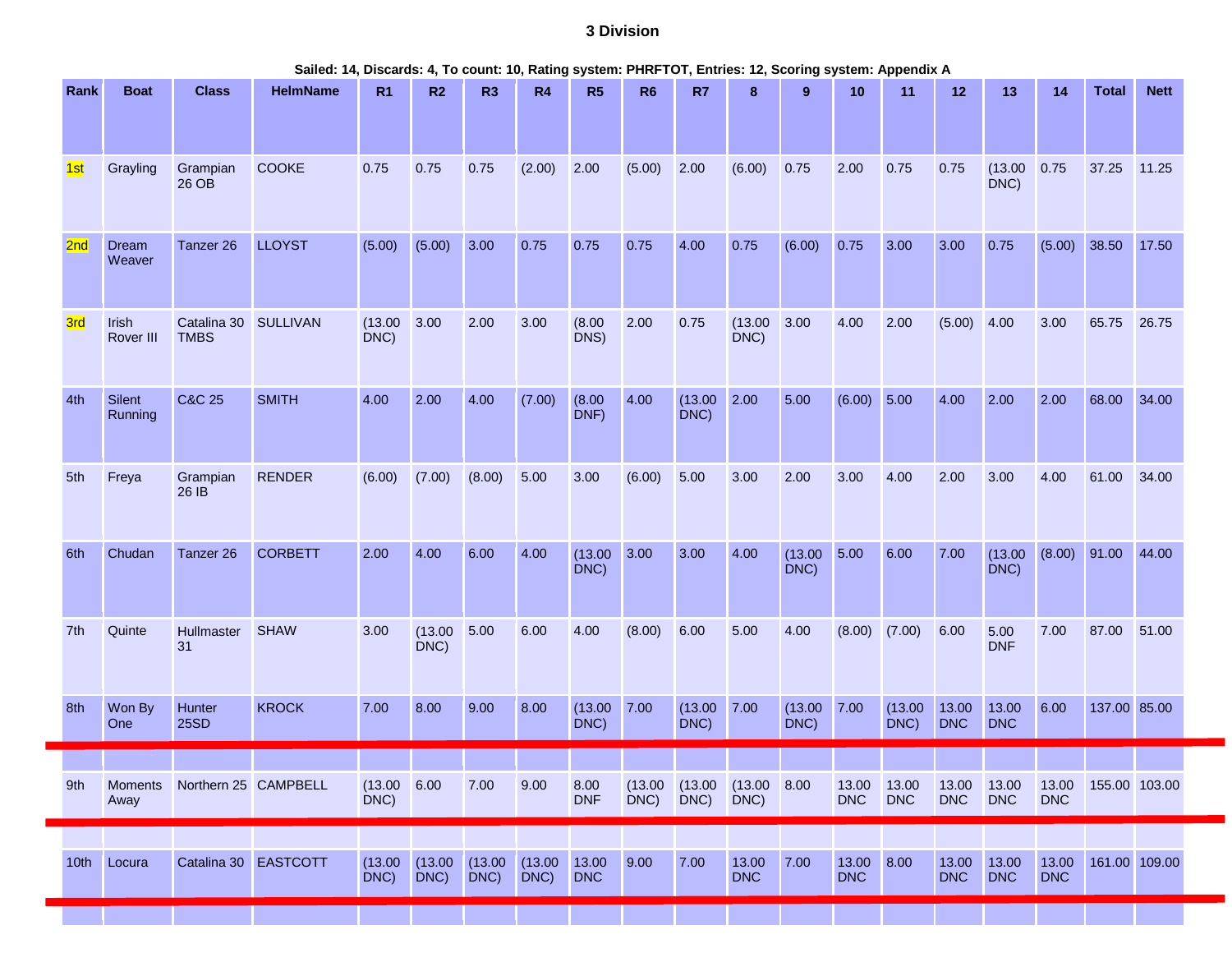# **3 Division**

| Sailed: 14, Discards: 4, To count: 10, Rating system: PHRFTOT, Entries: 12, Scoring system: Appendix A |  |  |  |  |  |  |
|--------------------------------------------------------------------------------------------------------|--|--|--|--|--|--|
|--------------------------------------------------------------------------------------------------------|--|--|--|--|--|--|

| Rank             | <b>Boat</b>            | <b>Class</b>                        | <b>HelmName</b> | R1                      | R2                 | R3              | <b>R4</b>          | R <sub>5</sub>      | R <sub>6</sub> | R7              | 8                                            | 9                       | 10                  | 11                  | 12                  | 13                  | 14                  | <b>Total</b>  | <b>Nett</b>   |
|------------------|------------------------|-------------------------------------|-----------------|-------------------------|--------------------|-----------------|--------------------|---------------------|----------------|-----------------|----------------------------------------------|-------------------------|---------------------|---------------------|---------------------|---------------------|---------------------|---------------|---------------|
| 1st              | Grayling               | Grampian<br>26 OB                   | <b>COOKE</b>    | 0.75                    | 0.75               | 0.75            | (2.00)             | 2.00                | (5.00)         | 2.00            | (6.00)                                       | 0.75                    | 2.00                | 0.75                | 0.75                | (13.00)<br>DNC)     | 0.75                | 37.25         | 11.25         |
| 2 <sub>nd</sub>  | Dream<br>Weaver        | Tanzer <sub>26</sub>                | <b>LLOYST</b>   | (5.00)                  | (5.00)             | 3.00            | 0.75               | 0.75                | 0.75           | 4.00            | 0.75                                         | (6.00)                  | 0.75                | 3.00                | 3.00                | 0.75                | (5.00)              | 38.50         | 17.50         |
| 3rd              | Irish<br>Rover III     | Catalina 30 SULLIVAN<br><b>TMBS</b> |                 | (13.00)<br>DNC)         | 3.00               | 2.00            | 3.00               | (8.00)<br>DNS)      | 2.00           | 0.75            | (13.00)<br>DNC)                              | 3.00                    | 4.00                | 2.00                | (5.00)              | 4.00                | 3.00                | 65.75         | 26.75         |
| 4th              | Silent<br>Running      | <b>C&amp;C 25</b>                   | <b>SMITH</b>    | 4.00                    | 2.00               | 4.00            | (7.00)             | (8.00)<br>DNF)      | 4.00           | (13.00)<br>DNC) | 2.00                                         | 5.00                    | (6.00)              | 5.00                | 4.00                | 2.00                | 2.00                | 68.00         | 34.00         |
| 5th              | Freya                  | Grampian<br>26 IB                   | <b>RENDER</b>   | (6.00)                  | (7.00)             | (8.00)          | 5.00               | 3.00                | (6.00)         | 5.00            | 3.00                                         | 2.00                    | 3.00                | 4.00                | 2.00                | 3.00                | 4.00                | 61.00         | 34.00         |
| 6th              | Chudan                 | Tanzer 26                           | <b>CORBETT</b>  | 2.00                    | 4.00               | 6.00            | 4.00               | (13.00)<br>DNC)     | 3.00           | 3.00            | 4.00                                         | (13.00)<br>DNC)         | 5.00                | 6.00                | 7.00                | (13.00)<br>DNC)     | (8.00)              | 91.00         | 44.00         |
| 7th              | Quinte                 | Hullmaster<br>31                    | <b>SHAW</b>     | 3.00                    | (13.00)<br>DNC)    | 5.00            | 6.00               | 4.00                | (8.00)         | 6.00            | 5.00                                         | 4.00                    | (8.00)              | (7.00)              | 6.00                | 5.00<br><b>DNF</b>  | 7.00                | 87.00         | 51.00         |
| 8th              | Won By<br>One          | Hunter<br><b>25SD</b>               | <b>KROCK</b>    | 7.00                    | 8.00               | 9.00            | 8.00               | (13.00)<br>DNC)     | 7.00           | (13.00)<br>DNC) | 7.00                                         | $(13.00 \ 7.00$<br>DNC) |                     | (13.00)<br>DNC)     | 13.00<br><b>DNC</b> | 13.00<br><b>DNC</b> | 6.00                | 137.00 85.00  |               |
|                  |                        |                                     |                 |                         |                    |                 |                    |                     |                |                 |                                              |                         |                     |                     |                     |                     |                     |               |               |
| 9th              | <b>Moments</b><br>Away | Northern 25 CAMPBELL                |                 | $(13.00 \ 6.00$<br>DNC) |                    | 7.00            | 9.00               | 8.00<br><b>DNF</b>  | DNC)           | DNC)            | $(13.00 \t (13.00 \t (13.00 \t 8.00$<br>DNC) |                         | 13.00<br><b>DNC</b> | 13.00<br><b>DNC</b> | 13.00<br><b>DNC</b> | 13.00<br><b>DNC</b> | 13.00<br><b>DNC</b> | 155.00 103.00 |               |
|                  |                        |                                     |                 |                         |                    |                 |                    |                     |                |                 |                                              |                         |                     |                     |                     |                     |                     |               |               |
| 10 <sup>th</sup> | Locura                 | Catalina 30 EASTCOTT                |                 | (13.00)<br>DNC)         | (13.00)<br>$DNC$ ) | (13.00)<br>DNC) | (13.00)<br>$DNC$ ) | 13.00<br><b>DNC</b> | 9.00           | 7.00            | 13.00<br><b>DNC</b>                          | 7.00                    | 13.00<br><b>DNC</b> | 8.00                | 13.00<br><b>DNC</b> | 13.00<br><b>DNC</b> | 13.00<br><b>DNC</b> |               | 161.00 109.00 |
|                  |                        |                                     |                 |                         |                    |                 |                    |                     |                |                 |                                              |                         |                     |                     |                     |                     |                     |               |               |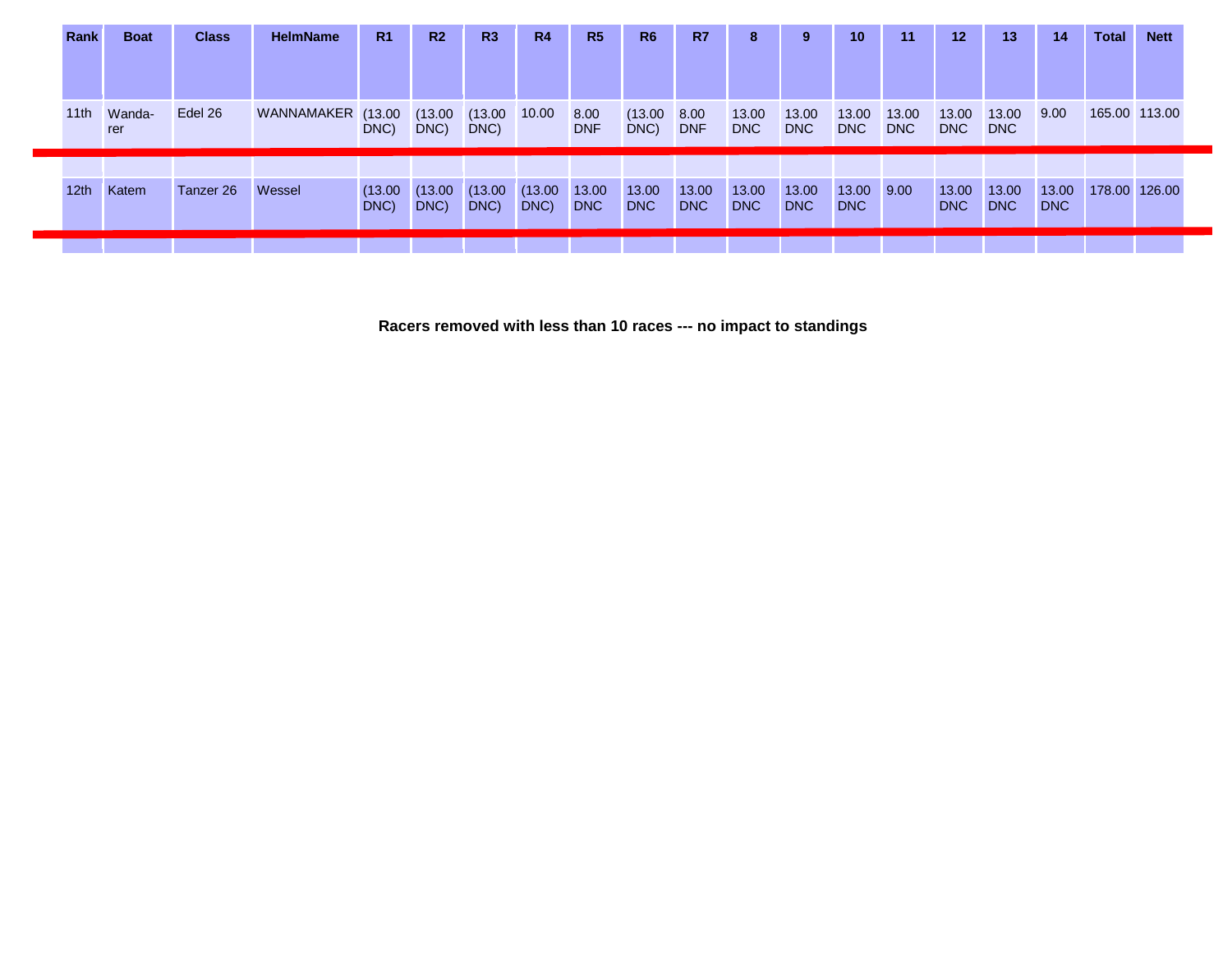| Rank             | <b>Boat</b> | <b>Class</b> | <b>HelmName</b>   | R <sub>1</sub> | R <sub>2</sub> | R3      | <b>R4</b> | R5         | <b>R6</b>  | <b>R7</b>  | 8          | 9          | 10 <sup>°</sup> | 11         | 12         | 13         | -14        | <b>Total</b>  | <b>Nett</b> |
|------------------|-------------|--------------|-------------------|----------------|----------------|---------|-----------|------------|------------|------------|------------|------------|-----------------|------------|------------|------------|------------|---------------|-------------|
|                  |             |              |                   |                |                |         |           |            |            |            |            |            |                 |            |            |            |            |               |             |
|                  |             |              |                   |                |                |         |           |            |            |            |            |            |                 |            |            |            |            |               |             |
|                  |             |              |                   |                |                |         |           |            |            |            |            |            |                 |            |            |            |            |               |             |
| 11th             | Wanda-      | Edel 26      | WANNAMAKER (13.00 |                | (13.00)        | (13.00) | 10.00     | 8.00       | (13.00)    | 8.00       | 13.00      | 13.00      | 13.00           | 13.00      | 13.00      | 13.00      | 9.00       | 165.00 113.00 |             |
|                  | rer         |              |                   | DNC)           | DNC)           | DNC)    |           | <b>DNF</b> | DNC)       | <b>DNF</b> | <b>DNC</b> | <b>DNC</b> | <b>DNC</b>      | <b>DNC</b> | <b>DNC</b> | <b>DNC</b> |            |               |             |
|                  |             |              |                   |                |                |         |           |            |            |            |            |            |                 |            |            |            |            |               |             |
|                  |             |              |                   |                |                |         |           |            |            |            |            |            |                 |            |            |            |            |               |             |
| 12 <sub>th</sub> | Katem       | Tanzer 26    | Wessel            | (13.00)        | (13.00)        | (13.00) | (13.00)   | 13.00      | 13.00      | 13.00      | 13.00      | 13.00      | 13.00 9.00      |            | 13.00      | 13.00      | 13.00      | 178.00 126.00 |             |
|                  |             |              |                   | DNC)           | DNC)           | DNC)    | DNC)      | DNC        | <b>DNC</b> | <b>DNC</b> | <b>DNC</b> | <b>DNC</b> | <b>DNC</b>      |            | <b>DNC</b> | <b>DNC</b> | <b>DNC</b> |               |             |
|                  |             |              |                   |                |                |         |           |            |            |            |            |            |                 |            |            |            |            |               |             |
|                  |             |              |                   |                |                |         |           |            |            |            |            |            |                 |            |            |            |            |               |             |

**Racers removed with less than 10 races --- no impact to standings**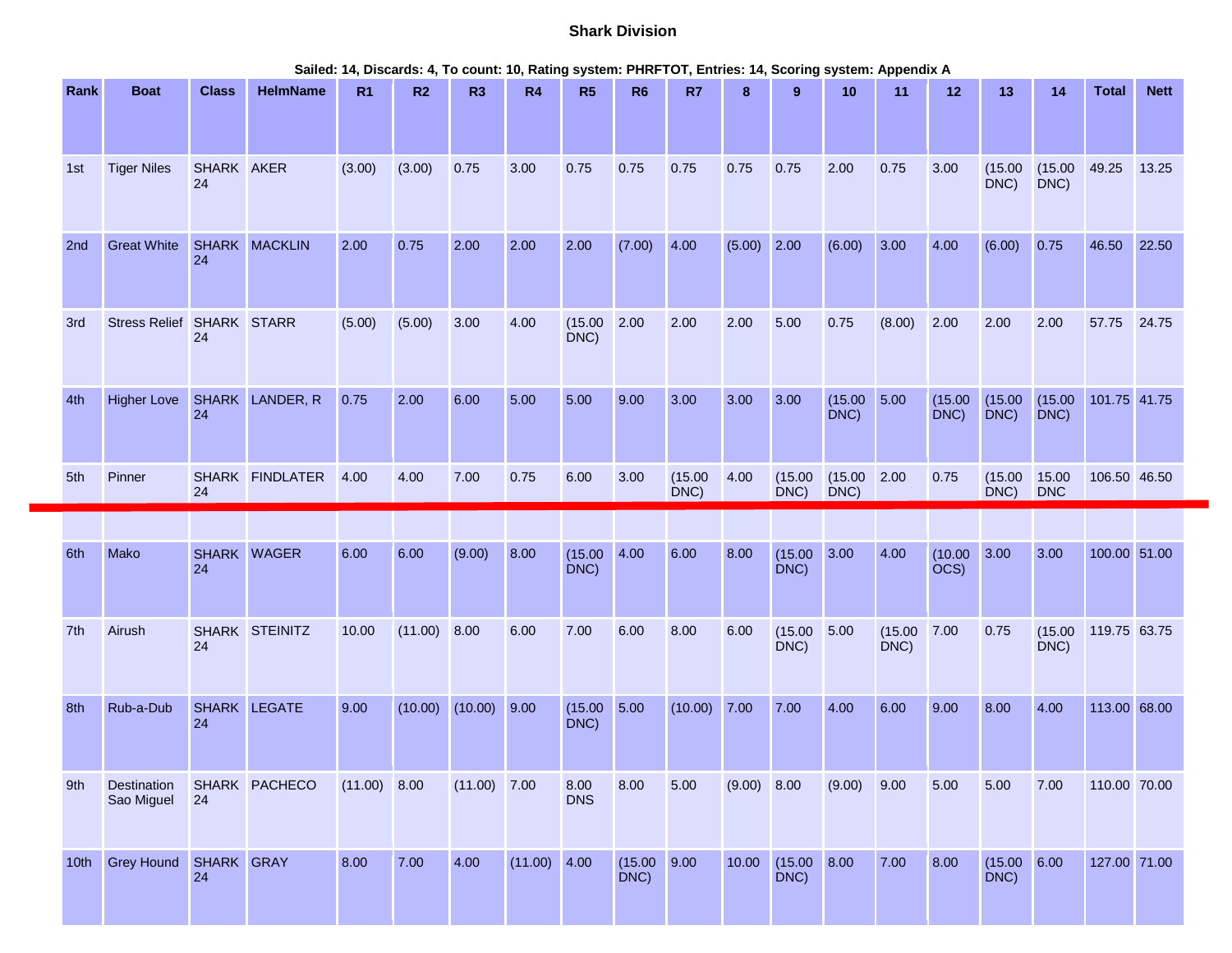# **Shark Division**

| Rank             | <b>Boat</b>               | <b>Class</b>     | <b>HelmName</b> | R <sub>1</sub> | R2             | R <sub>3</sub> | <b>R4</b>      | R <sub>5</sub>     | R <sub>6</sub>          | R7              | 8             | 9                       | 10              | 11              | 12              | 13                      | 14                  | <b>Total</b> | <b>Nett</b> |
|------------------|---------------------------|------------------|-----------------|----------------|----------------|----------------|----------------|--------------------|-------------------------|-----------------|---------------|-------------------------|-----------------|-----------------|-----------------|-------------------------|---------------------|--------------|-------------|
|                  |                           |                  |                 |                |                |                |                |                    |                         |                 |               |                         |                 |                 |                 |                         |                     |              |             |
| 1st              | <b>Tiger Niles</b>        | SHARK AKER<br>24 |                 | (3.00)         | (3.00)         | 0.75           | 3.00           | 0.75               | 0.75                    | 0.75            | 0.75          | 0.75                    | 2.00            | 0.75            | 3.00            | (15.00)<br>DNC)         | (15.00)<br>DNC)     | 49.25        | 13.25       |
| 2nd              | <b>Great White</b>        | 24               | SHARK MACKLIN   | 2.00           | 0.75           | 2.00           | 2.00           | 2.00               | (7.00)                  | 4.00            | $(5.00)$ 2.00 |                         | (6.00)          | 3.00            | 4.00            | (6.00)                  | 0.75                | 46.50        | 22.50       |
| 3rd              | Stress Relief SHARK STARR | 24               |                 | (5.00)         | (5.00)         | 3.00           | 4.00           | (15.00)<br>DNC)    | 2.00                    | 2.00            | 2.00          | 5.00                    | 0.75            | (8.00)          | 2.00            | 2.00                    | 2.00                | 57.75        | 24.75       |
| 4th              | <b>Higher Love</b>        | 24               | SHARK LANDER, R | 0.75           | 2.00           | 6.00           | 5.00           | 5.00               | 9.00                    | 3.00            | 3.00          | 3.00                    | (15.00)<br>DNC) | 5.00            | (15.00)<br>DNC) | (15.00)<br>DNC)         | (15.00)<br>DNC)     | 101.75 41.75 |             |
| 5th              | Pinner                    | 24               | SHARK FINDLATER | 4.00           | 4.00           | 7.00           | 0.75           | 6.00               | 3.00                    | (15.00)<br>DNC) | 4.00          | (15.00)<br>DNC)         | (15.00)<br>DNC) | 2.00            | 0.75            | (15.00)<br>DNC)         | 15.00<br><b>DNC</b> | 106.50 46.50 |             |
|                  |                           |                  |                 |                |                |                |                |                    |                         |                 |               |                         |                 |                 |                 |                         |                     |              |             |
| 6th              | Mako                      | 24               | SHARK WAGER     | 6.00           | 6.00           | (9.00)         | 8.00           | (15.00)<br>DNC)    | 4.00                    | 6.00            | 8.00          | (15.00)<br>DNC)         | 3.00            | 4.00            | (10.00)<br>OCS) | 3.00                    | 3.00                | 100.00 51.00 |             |
| 7th              | Airush                    | 24               | SHARK STEINITZ  | 10.00          | $(11.00)$ 8.00 |                | 6.00           | 7.00               | 6.00                    | 8.00            | 6.00          | (15.00)<br>DNC)         | 5.00            | (15.00)<br>DNC) | 7.00            | 0.75                    | (15.00)<br>DNC)     | 119.75 63.75 |             |
| 8th              | Rub-a-Dub                 | 24               | SHARK LEGATE    | 9.00           | (10.00)        | (10.00)        | 9.00           | (15.00)<br>DNC)    | 5.00                    | $(10.00)$ 7.00  |               | 7.00                    | 4.00            | 6.00            | 9.00            | 8.00                    | 4.00                | 113.00 68.00 |             |
| 9th              | Destination<br>Sao Miguel | 24               | SHARK PACHECO   | $(11.00)$ 8.00 |                | $(11.00)$ 7.00 |                | 8.00<br><b>DNS</b> | 8.00                    | 5.00            | (9.00) 8.00   |                         | (9.00)          | 9.00            | 5.00            | 5.00                    | 7.00                | 110.00 70.00 |             |
| 10 <sub>th</sub> | <b>Grey Hound</b>         | SHARK GRAY<br>24 |                 | 8.00           | 7.00           | 4.00           | $(11.00)$ 4.00 |                    | $(15.00 \ 9.00$<br>DNC) |                 | 10.00         | $(15.00 \ 8.00$<br>DNC) |                 | 7.00            | 8.00            | $(15.00 \ 6.00$<br>DNC) |                     | 127.00 71.00 |             |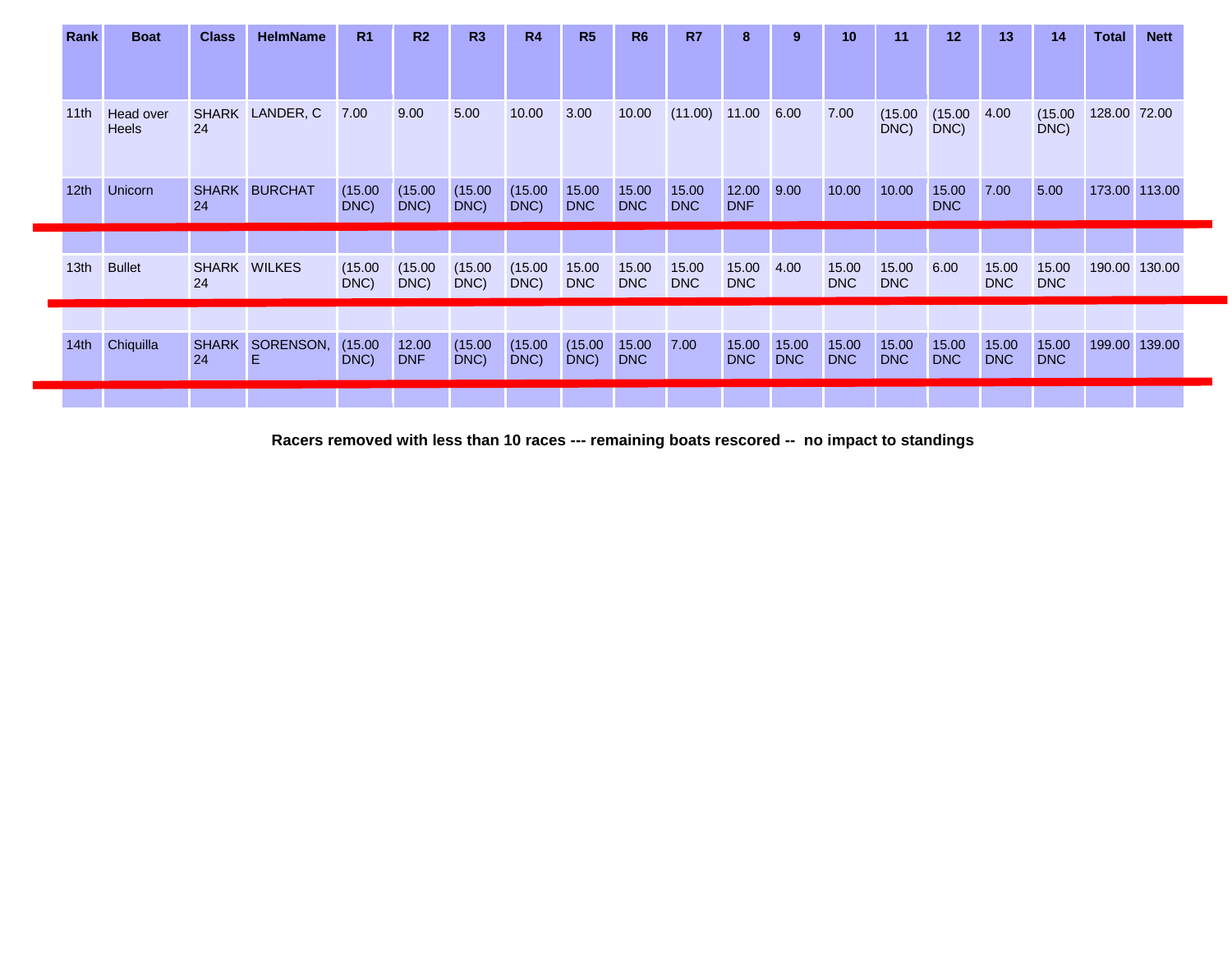| Rank             | <b>Boat</b>        | <b>Class</b> | <b>HelmName</b>      | R <sub>1</sub>  | R <sub>2</sub>      | R <sub>3</sub>  | <b>R4</b>       | R5                  | <b>R6</b>           | R7                  | 8                   | 9                   | 10                  | 11                  | 12                  | 13                  | 14                  | <b>Total</b>  | <b>Nett</b> |
|------------------|--------------------|--------------|----------------------|-----------------|---------------------|-----------------|-----------------|---------------------|---------------------|---------------------|---------------------|---------------------|---------------------|---------------------|---------------------|---------------------|---------------------|---------------|-------------|
|                  |                    |              |                      |                 |                     |                 |                 |                     |                     |                     |                     |                     |                     |                     |                     |                     |                     |               |             |
| 11th             | Head over<br>Heels | 24           | SHARK LANDER, C      | 7.00            | 9.00                | 5.00            | 10.00           | 3.00                | 10.00               | $(11.00)$ 11.00     |                     | 6.00                | 7.00                | (15.00)<br>DNC)     | (15.00)<br>DNC)     | 4.00                | (15.00)<br>DNC)     | 128.00 72.00  |             |
| 12 <sub>th</sub> | Unicorn            | 24           | SHARK BURCHAT        | (15.00)<br>DNC) | (15.00)<br>DNC)     | (15.00)<br>DNC) | (15.00)<br>DNC) | 15.00<br><b>DNC</b> | 15.00<br><b>DNC</b> | 15.00<br><b>DNC</b> | 12.00<br><b>DNF</b> | 9.00                | 10.00               | 10.00               | 15.00<br><b>DNC</b> | 7.00                | 5.00                | 173.00 113.00 |             |
|                  |                    |              |                      |                 |                     |                 |                 |                     |                     |                     |                     |                     |                     |                     |                     |                     |                     |               |             |
| 13 <sub>th</sub> | <b>Bullet</b>      | 24           | SHARK WILKES         | (15.00)<br>DNC) | (15.00)<br>DNC)     | (15.00)<br>DNC) | (15.00)<br>DNC) | 15.00<br><b>DNC</b> | 15.00<br><b>DNC</b> | 15.00<br><b>DNC</b> | 15.00<br><b>DNC</b> | 4.00                | 15.00<br><b>DNC</b> | 15.00<br><b>DNC</b> | 6.00                | 15.00<br><b>DNC</b> | 15.00<br><b>DNC</b> | 190.00 130.00 |             |
|                  |                    |              |                      |                 |                     |                 |                 |                     |                     |                     |                     |                     |                     |                     |                     |                     |                     |               |             |
| 14th             | Chiquilla          | 24           | SHARK SORENSON,<br>E | (15.00)<br>DNC) | 12.00<br><b>DNF</b> | (15.00)<br>DNC) | (15.00)<br>DNC) | (15.00)<br>DNC)     | 15.00<br><b>DNC</b> | 7.00                | 15.00<br>DNC        | 15.00<br><b>DNC</b> | 15.00<br><b>DNC</b> | 15.00<br><b>DNC</b> | 15.00<br><b>DNC</b> | 15.00<br><b>DNC</b> | 15.00<br><b>DNC</b> | 199.00 139.00 |             |
|                  |                    |              |                      |                 |                     |                 |                 |                     |                     |                     |                     |                     |                     |                     |                     |                     |                     |               |             |

**Racers removed with less than 10 races --- remaining boats rescored -- no impact to standings**